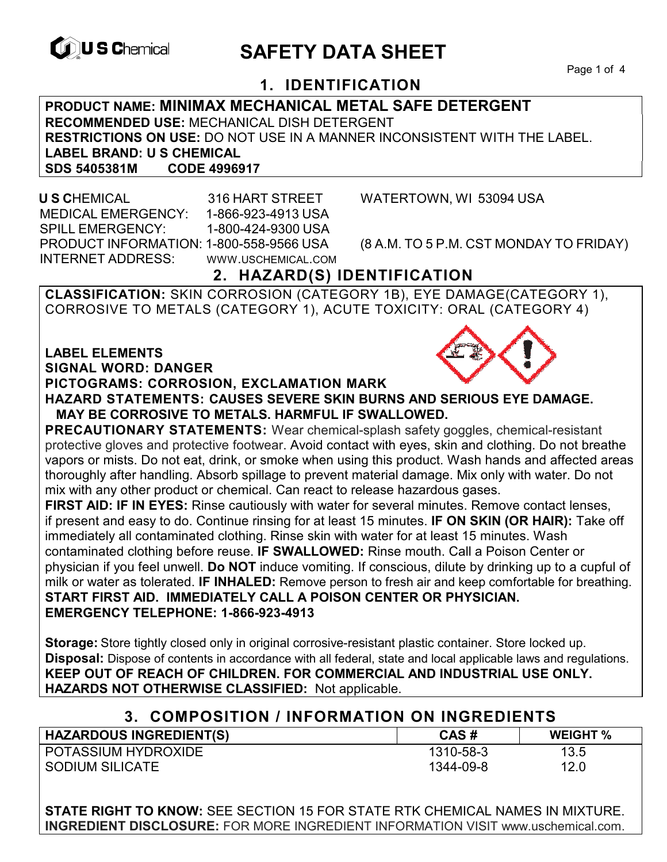

# **EXAGREM** SAFETY DATA SHEET

Page 1 of 4

## **1. IDENTIFICATION**

### **PRODUCT NAME: MINIMAX MECHANICAL METAL SAFE DETERGENT RECOMMENDED USE:** MECHANICAL DISH DETERGENT **RESTRICTIONS ON USE:** DO NOT USE IN A MANNER INCONSISTENT WITH THE LABEL. **LABEL BRAND: U S CHEMICAL SDS 5405381M**

 **U S C**HEMICAL 316 HART STREET WATERTOWN, WI 53094 USA MEDICAL EMERGENCY: 1-866-923-4913 USA SPILL EMERGENCY: 1-800-424-9300 USA PRODUCT INFORMATION: 1-800-558-9566 USA (8 A.M. TO 5 P.M. CST MONDAY TO FRIDAY) INTERNET ADDRESS: WWW.USCHEMICAL.COM

## **2. HAZARD(S) IDENTIFICATION**

**CLASSIFICATION:** SKIN CORROSION (CATEGORY 1B), EYE DAMAGE(CATEGORY 1), CORROSIVE TO METALS (CATEGORY 1), ACUTE TOXICITY: ORAL (CATEGORY 4)

#### **LABEL ELEMENTS SIGNAL WORD: DANGER**

#### **PICTOGRAMS: CORROSION, EXCLAMATION MARK**



**PRECAUTIONARY STATEMENTS:** Wear chemical-splash safety goggles, chemical-resistant protective gloves and protective footwear. Avoid contact with eyes, skin and clothing. Do not breathe vapors or mists. Do not eat, drink, or smoke when using this product. Wash hands and affected areas thoroughly after handling. Absorb spillage to prevent material damage. Mix only with water. Do not mix with any other product or chemical. Can react to release hazardous gases.

**FIRST AID: IF IN EYES:** Rinse cautiously with water for several minutes. Remove contact lenses, if present and easy to do. Continue rinsing for at least 15 minutes. **IF ON SKIN (OR HAIR):** Take off immediately all contaminated clothing. Rinse skin with water for at least 15 minutes. Wash contaminated clothing before reuse. **IF SWALLOWED:** Rinse mouth. Call a Poison Center or physician if you feel unwell. **Do NOT** induce vomiting. If conscious, dilute by drinking up to a cupful of milk or water as tolerated. **IF INHALED:** Remove person to fresh air and keep comfortable for breathing. **START FIRST AID. IMMEDIATELY CALL A POISON CENTER OR PHYSICIAN. EMERGENCY TELEPHONE: 1-866-923-4913**

**Storage:** Store tightly closed only in original corrosive-resistant plastic container. Store locked up. **Disposal:** Dispose of contents in accordance with all federal, state and local applicable laws and regulations. **KEEP OUT OF REACH OF CHILDREN. FOR COMMERCIAL AND INDUSTRIAL USE ONLY. HAZARDS NOT OTHERWISE CLASSIFIED:** Not applicable.

## **3. COMPOSITION / INFORMATION ON INGREDIENTS**

| <b>HAZARDOUS INGREDIENT(S)</b> | CAS#      | <b>WEIGHT %</b> |
|--------------------------------|-----------|-----------------|
| POTASSIUM HYDROXIDE            | 1310-58-3 | 13.5            |
| SODIUM SILICATE                | 1344-09-8 | 12.0            |

**STATE RIGHT TO KNOW:** SEE SECTION 15 FOR STATE RTK CHEMICAL NAMES IN MIXTURE. **INGREDIENT DISCLOSURE:** FOR MORE INGREDIENT INFORMATION VISIT www.uschemical.com.

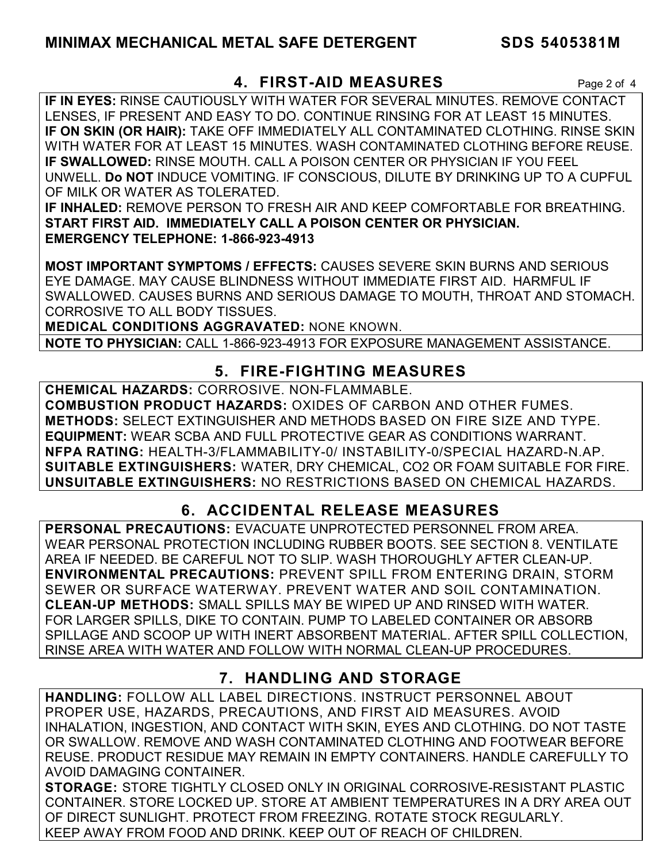## **4. FIRST-AID MEASURES** Page 2 of 4

**IF IN EYES:** RINSE CAUTIOUSLY WITH WATER FOR SEVERAL MINUTES. REMOVE CONTACT LENSES, IF PRESENT AND EASY TO DO. CONTINUE RINSING FOR AT LEAST 15 MINUTES. **IF ON SKIN (OR HAIR):** TAKE OFF IMMEDIATELY ALL CONTAMINATED CLOTHING. RINSE SKIN WITH WATER FOR AT LEAST 15 MINUTES. WASH CONTAMINATED CLOTHING BEFORE REUSE. **IF SWALLOWED:** RINSE MOUTH. CALL A POISON CENTER OR PHYSICIAN IF YOU FEEL UNWELL. **Do NOT** INDUCE VOMITING. IF CONSCIOUS, DILUTE BY DRINKING UP TO A CUPFUL OF MILK OR WATER AS TOLERATED.

**IF INHALED:** REMOVE PERSON TO FRESH AIR AND KEEP COMFORTABLE FOR BREATHING. **START FIRST AID. IMMEDIATELY CALL A POISON CENTER OR PHYSICIAN. EMERGENCY TELEPHONE: 1-866-923-4913**

**MOST IMPORTANT SYMPTOMS / EFFECTS:** CAUSES SEVERE SKIN BURNS AND SERIOUS EYE DAMAGE. MAY CAUSE BLINDNESS WITHOUT IMMEDIATE FIRST AID. HARMFUL IF SWALLOWED. CAUSES BURNS AND SERIOUS DAMAGE TO MOUTH, THROAT AND STOMACH. CORROSIVE TO ALL BODY TISSUES.

**MEDICAL CONDITIONS AGGRAVATED:** NONE KNOWN.

**NOTE TO PHYSICIAN:** CALL 1-866-923-4913 FOR EXPOSURE MANAGEMENT ASSISTANCE.

## **5. FIRE-FIGHTING MEASURES**

**CHEMICAL HAZARDS:** CORROSIVE. NON-FLAMMABLE. **COMBUSTION PRODUCT HAZARDS:** OXIDES OF CARBON AND OTHER FUMES. **METHODS:** SELECT EXTINGUISHER AND METHODS BASED ON FIRE SIZE AND TYPE. **EQUIPMENT:** WEAR SCBA AND FULL PROTECTIVE GEAR AS CONDITIONS WARRANT. **NFPA RATING:** HEALTH-3/FLAMMABILITY-0/ INSTABILITY-0/SPECIAL HAZARD-N.AP. **SUITABLE EXTINGUISHERS:** WATER, DRY CHEMICAL, CO2 OR FOAM SUITABLE FOR FIRE. **UNSUITABLE EXTINGUISHERS:** NO RESTRICTIONS BASED ON CHEMICAL HAZARDS.

## **6. ACCIDENTAL RELEASE MEASURES**

**PERSONAL PRECAUTIONS:** EVACUATE UNPROTECTED PERSONNEL FROM AREA. WEAR PERSONAL PROTECTION INCLUDING RUBBER BOOTS. SEE SECTION 8. VENTILATE AREA IF NEEDED. BE CAREFUL NOT TO SLIP. WASH THOROUGHLY AFTER CLEAN-UP. **ENVIRONMENTAL PRECAUTIONS:** PREVENT SPILL FROM ENTERING DRAIN, STORM SEWER OR SURFACE WATERWAY. PREVENT WATER AND SOIL CONTAMINATION. **CLEAN-UP METHODS:** SMALL SPILLS MAY BE WIPED UP AND RINSED WITH WATER. FOR LARGER SPILLS, DIKE TO CONTAIN. PUMP TO LABELED CONTAINER OR ABSORB SPILLAGE AND SCOOP UP WITH INERT ABSORBENT MATERIAL. AFTER SPILL COLLECTION, RINSE AREA WITH WATER AND FOLLOW WITH NORMAL CLEAN-UP PROCEDURES.

## **7. HANDLING AND STORAGE**

**HANDLING:** FOLLOW ALL LABEL DIRECTIONS. INSTRUCT PERSONNEL ABOUT PROPER USE, HAZARDS, PRECAUTIONS, AND FIRST AID MEASURES. AVOID INHALATION, INGESTION, AND CONTACT WITH SKIN, EYES AND CLOTHING. DO NOT TASTE OR SWALLOW. REMOVE AND WASH CONTAMINATED CLOTHING AND FOOTWEAR BEFORE REUSE. PRODUCT RESIDUE MAY REMAIN IN EMPTY CONTAINERS. HANDLE CAREFULLY TO AVOID DAMAGING CONTAINER.

**STORAGE:** STORE TIGHTLY CLOSED ONLY IN ORIGINAL CORROSIVE-RESISTANT PLASTIC CONTAINER. STORE LOCKED UP. STORE AT AMBIENT TEMPERATURES IN A DRY AREA OUT OF DIRECT SUNLIGHT. PROTECT FROM FREEZING. ROTATE STOCK REGULARLY. KEEP AWAY FROM FOOD AND DRINK. KEEP OUT OF REACH OF CHILDREN.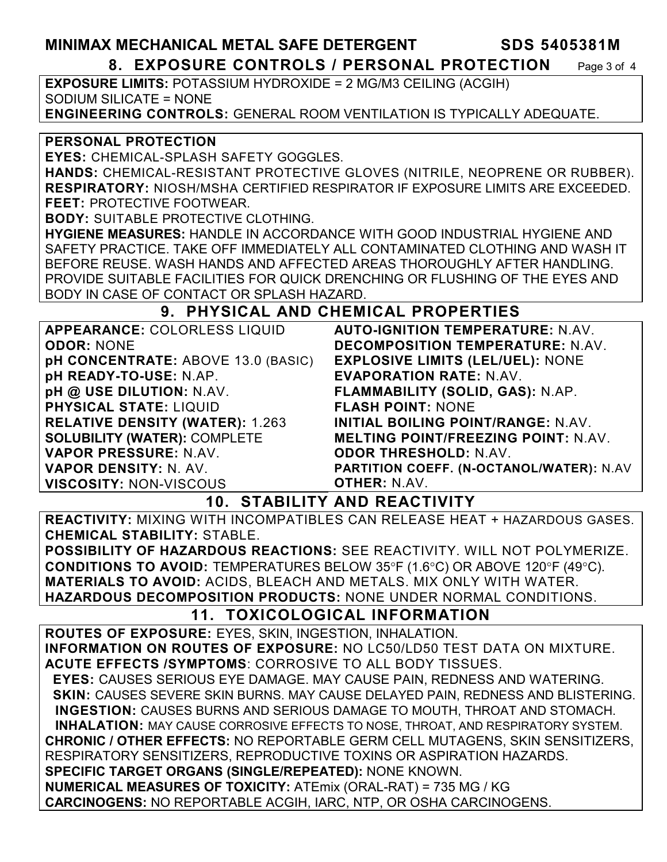**MINIMAX MECHANICAL METAL SAFE DETERGENT SDS 5405381M** 

### **8. EXPOSURE CONTROLS / PERSONAL PROTECTION** Page 3 of 4

**EXPOSURE LIMITS:** POTASSIUM HYDROXIDE = 2 MG/M3 CEILING (ACGIH) SODIUM SILICATE = NONE **ENGINEERING CONTROLS:** GENERAL ROOM VENTILATION IS TYPICALLY ADEQUATE.

#### **PERSONAL PROTECTION**

**EYES:** CHEMICAL-SPLASH SAFETY GOGGLES.

**HANDS:** CHEMICAL-RESISTANT PROTECTIVE GLOVES (NITRILE, NEOPRENE OR RUBBER). **RESPIRATORY:** NIOSH/MSHA CERTIFIED RESPIRATOR IF EXPOSURE LIMITS ARE EXCEEDED. **FEET:** PROTECTIVE FOOTWEAR.

**BODY:** SUITABLE PROTECTIVE CLOTHING.

**HYGIENE MEASURES:** HANDLE IN ACCORDANCE WITH GOOD INDUSTRIAL HYGIENE AND SAFETY PRACTICE. TAKE OFF IMMEDIATELY ALL CONTAMINATED CLOTHING AND WASH IT BEFORE REUSE. WASH HANDS AND AFFECTED AREAS THOROUGHLY AFTER HANDLING. PROVIDE SUITABLE FACILITIES FOR QUICK DRENCHING OR FLUSHING OF THE EYES AND BODY IN CASE OF CONTACT OR SPLASH HAZARD.

## **9. PHYSICAL AND CHEMICAL PROPERTIES**

| APPEARANCE: COLORLESS LIQUID           | <b>AUTO-IGNITION TEMPERATURE: N.AV.</b>    |
|----------------------------------------|--------------------------------------------|
| <b>ODOR: NONE</b>                      | DECOMPOSITION TEMPERATURE: N.AV.           |
| pH CONCENTRATE: ABOVE 13.0 (BASIC)     | <b>EXPLOSIVE LIMITS (LEL/UEL): NONE</b>    |
| pH READY-TO-USE: N.AP.                 | <b>EVAPORATION RATE: N.AV.</b>             |
| pH @ USE DILUTION: N.AV.               | FLAMMABILITY (SOLID, GAS): N.AP.           |
| <b>PHYSICAL STATE: LIQUID</b>          | <b>FLASH POINT: NONE</b>                   |
| <b>RELATIVE DENSITY (WATER): 1.263</b> | <b>INITIAL BOILING POINT/RANGE: N.AV.</b>  |
| <b>SOLUBILITY (WATER): COMPLETE</b>    | <b>MELTING POINT/FREEZING POINT: N.AV.</b> |
| VAPOR PRESSURE: N.AV.                  | <b>ODOR THRESHOLD: N.AV.</b>               |
| VAPOR DENSITY: N. AV.                  | PARTITION COEFF. (N-OCTANOL/WATER): N.AV   |
| <b>VISCOSITY: NON-VISCOUS</b>          | <b>OTHER: N.AV.</b>                        |

**10. STABILITY AND REACTIVITY** 

**REACTIVITY:** MIXING WITH INCOMPATIBLES CAN RELEASE HEAT + HAZARDOUS GASES. **CHEMICAL STABILITY:** STABLE.

**POSSIBILITY OF HAZARDOUS REACTIONS:** SEE REACTIVITY. WILL NOT POLYMERIZE. **CONDITIONS TO AVOID:** TEMPERATURES BELOW 35°F (1.6°C) OR ABOVE 120°F (49°C). **MATERIALS TO AVOID:** ACIDS, BLEACH AND METALS. MIX ONLY WITH WATER. **HAZARDOUS DECOMPOSITION PRODUCTS:** NONE UNDER NORMAL CONDITIONS.

## **11. TOXICOLOGICAL INFORMATION**

**ROUTES OF EXPOSURE:** EYES, SKIN, INGESTION, INHALATION. **INFORMATION ON ROUTES OF EXPOSURE:** NO LC50/LD50 TEST DATA ON MIXTURE. **ACUTE EFFECTS /SYMPTOMS**: CORROSIVE TO ALL BODY TISSUES.  **EYES:** CAUSES SERIOUS EYE DAMAGE. MAY CAUSE PAIN, REDNESS AND WATERING.  **SKIN:** CAUSES SEVERE SKIN BURNS. MAY CAUSE DELAYED PAIN, REDNESS AND BLISTERING. **INGESTION:** CAUSES BURNS AND SERIOUS DAMAGE TO MOUTH, THROAT AND STOMACH. **INHALATION:** MAY CAUSE CORROSIVE EFFECTS TO NOSE, THROAT, AND RESPIRATORY SYSTEM. **CHRONIC / OTHER EFFECTS:** NO REPORTABLE GERM CELL MUTAGENS, SKIN SENSITIZERS, RESPIRATORY SENSITIZERS, REPRODUCTIVE TOXINS OR ASPIRATION HAZARDS. **SPECIFIC TARGET ORGANS (SINGLE/REPEATED):** NONE KNOWN. **NUMERICAL MEASURES OF TOXICITY:** ATEmix (ORAL-RAT) = 735 MG / KG **CARCINOGENS:** NO REPORTABLE ACGIH, IARC, NTP, OR OSHA CARCINOGENS.